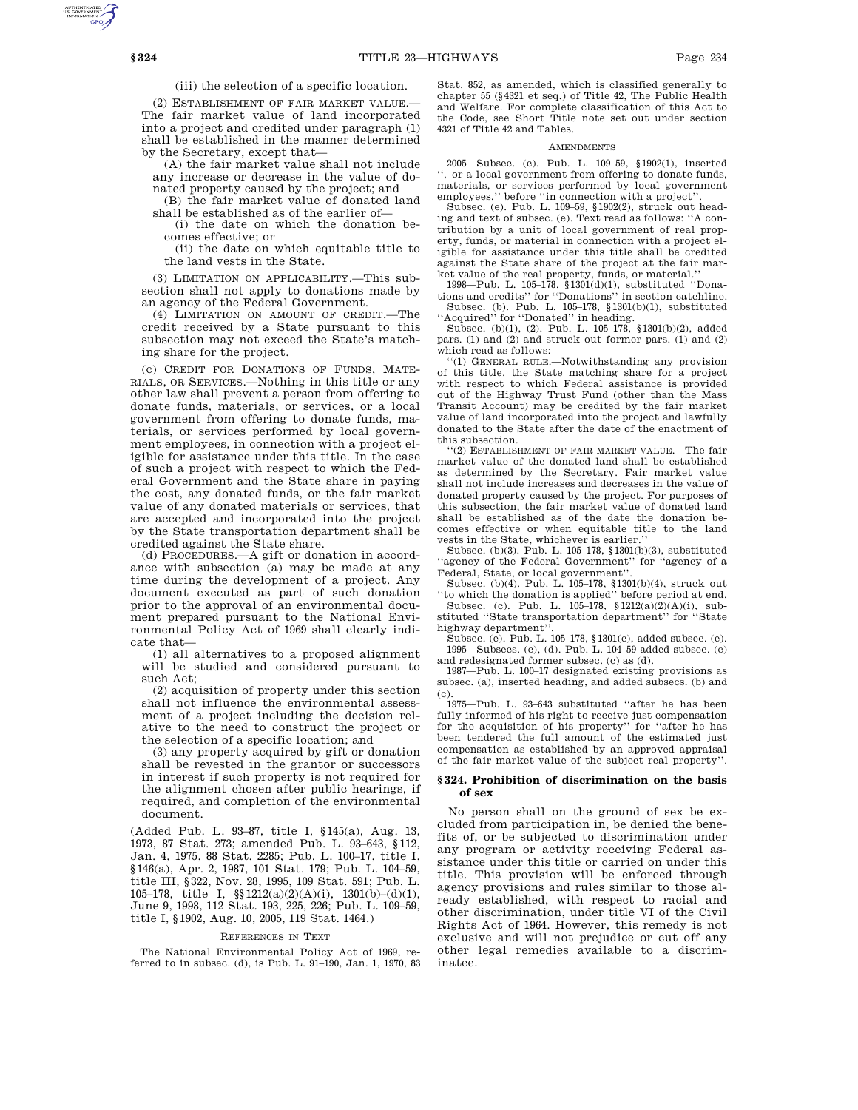(iii) the selection of a specific location.

(2) ESTABLISHMENT OF FAIR MARKET VALUE.— The fair market value of land incorporated into a project and credited under paragraph (1) shall be established in the manner determined by the Secretary, except that—

(A) the fair market value shall not include any increase or decrease in the value of donated property caused by the project; and

(B) the fair market value of donated land shall be established as of the earlier of—

(i) the date on which the donation becomes effective; or

(ii) the date on which equitable title to the land vests in the State.

(3) LIMITATION ON APPLICABILITY.—This subsection shall not apply to donations made by an agency of the Federal Government.

(4) LIMITATION ON AMOUNT OF CREDIT.—The credit received by a State pursuant to this subsection may not exceed the State's matching share for the project.

(c) CREDIT FOR DONATIONS OF FUNDS, MATE-RIALS, OR SERVICES.—Nothing in this title or any other law shall prevent a person from offering to donate funds, materials, or services, or a local government from offering to donate funds, materials, or services performed by local government employees, in connection with a project eligible for assistance under this title. In the case of such a project with respect to which the Federal Government and the State share in paying the cost, any donated funds, or the fair market value of any donated materials or services, that are accepted and incorporated into the project by the State transportation department shall be credited against the State share.

(d) PROCEDURES.—A gift or donation in accordance with subsection (a) may be made at any time during the development of a project. Any document executed as part of such donation prior to the approval of an environmental document prepared pursuant to the National Environmental Policy Act of 1969 shall clearly indicate that—

(1) all alternatives to a proposed alignment will be studied and considered pursuant to such Act;

(2) acquisition of property under this section shall not influence the environmental assessment of a project including the decision relative to the need to construct the project or the selection of a specific location; and

(3) any property acquired by gift or donation shall be revested in the grantor or successors in interest if such property is not required for the alignment chosen after public hearings, if required, and completion of the environmental document.

(Added Pub. L. 93–87, title I, §145(a), Aug. 13, 1973, 87 Stat. 273; amended Pub. L. 93–643, §112, Jan. 4, 1975, 88 Stat. 2285; Pub. L. 100–17, title I, §146(a), Apr. 2, 1987, 101 Stat. 179; Pub. L. 104–59, title III, §322, Nov. 28, 1995, 109 Stat. 591; Pub. L. 105–178, title I, §§1212(a)(2)(A)(i), 1301(b)–(d)(1), June 9, 1998, 112 Stat. 193, 225, 226; Pub. L. 109–59, title I, §1902, Aug. 10, 2005, 119 Stat. 1464.)

#### REFERENCES IN TEXT

The National Environmental Policy Act of 1969, referred to in subsec. (d), is Pub. L. 91–190, Jan. 1, 1970, 83

Stat. 852, as amended, which is classified generally to chapter 55 (§4321 et seq.) of Title 42, The Public Health and Welfare. For complete classification of this Act to the Code, see Short Title note set out under section 4321 of Title 42 and Tables.

## AMENDMENTS

2005—Subsec. (c). Pub. L. 109–59, §1902(1), inserted '', or a local government from offering to donate funds, materials, or services performed by local government employees,'' before ''in connection with a project''.

Subsec. (e). Pub. L. 109–59, §1902(2), struck out heading and text of subsec. (e). Text read as follows: ''A contribution by a unit of local government of real property, funds, or material in connection with a project eligible for assistance under this title shall be credited against the State share of the project at the fair market value of the real property, funds, or material.'' 1998—Pub. L. 105–178, §1301(d)(1), substituted ''Dona-

tions and credits'' for ''Donations'' in section catchline. Subsec. (b). Pub. L. 105–178, §1301(b)(1), substituted ''Acquired'' for ''Donated'' in heading.

Subsec. (b)(1), (2). Pub. L. 105–178, §1301(b)(2), added pars. (1) and (2) and struck out former pars. (1) and (2) which read as follows:

''(1) GENERAL RULE.—Notwithstanding any provision of this title, the State matching share for a project with respect to which Federal assistance is provided out of the Highway Trust Fund (other than the Mass Transit Account) may be credited by the fair market value of land incorporated into the project and lawfully donated to the State after the date of the enactment of this subsection.

''(2) ESTABLISHMENT OF FAIR MARKET VALUE.—The fair market value of the donated land shall be established as determined by the Secretary. Fair market value shall not include increases and decreases in the value of donated property caused by the project. For purposes of this subsection, the fair market value of donated land shall be established as of the date the donation becomes effective or when equitable title to the land vests in the State, whichever is earlier.

Subsec. (b)(3). Pub. L. 105–178, §1301(b)(3), substituted "agency of the Federal Government" for "agency of a Federal, State, or local government''.

Subsec. (b)(4). Pub. L. 105–178, §1301(b)(4), struck out ''to which the donation is applied'' before period at end.

Subsec. (c). Pub. L.  $10\overline{5}$ -178,  $$1212(a)(2)(A)(i)$ , substituted ''State transportation department'' for ''State highway department''.

Subsec. (e). Pub. L. 105–178, §1301(c), added subsec. (e). 1995—Subsecs. (c), (d). Pub. L. 104–59 added subsec. (c) and redesignated former subsec. (c) as (d).

1987—Pub. L. 100–17 designated existing provisions as subsec. (a), inserted heading, and added subsecs. (b) and  $(c)$ 

1975—Pub. L. 93–643 substituted ''after he has been fully informed of his right to receive just compensation for the acquisition of his property'' for ''after he has been tendered the full amount of the estimated just compensation as established by an approved appraisal of the fair market value of the subject real property''.

## **§ 324. Prohibition of discrimination on the basis of sex**

No person shall on the ground of sex be excluded from participation in, be denied the benefits of, or be subjected to discrimination under any program or activity receiving Federal assistance under this title or carried on under this title. This provision will be enforced through agency provisions and rules similar to those already established, with respect to racial and other discrimination, under title VI of the Civil Rights Act of 1964. However, this remedy is not exclusive and will not prejudice or cut off any other legal remedies available to a discriminatee.